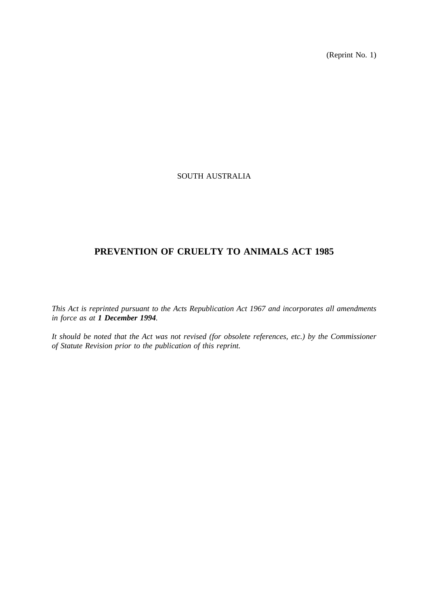(Reprint No. 1)

## SOUTH AUSTRALIA

# **PREVENTION OF CRUELTY TO ANIMALS ACT 1985**

*This Act is reprinted pursuant to the Acts Republication Act 1967 and incorporates all amendments in force as at 1 December 1994.*

*It should be noted that the Act was not revised (for obsolete references, etc.) by the Commissioner of Statute Revision prior to the publication of this reprint.*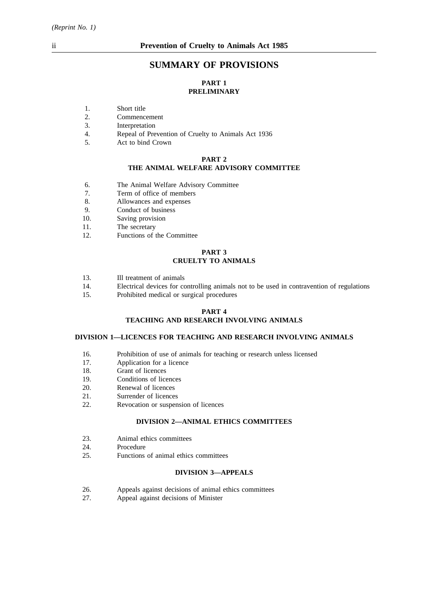## **SUMMARY OF PROVISIONS**

### **PART 1 PRELIMINARY**

- 1. Short title
- 2. Commencement
- 3. Interpretation
- 4. Repeal of Prevention of Cruelty to Animals Act 1936
- 5. Act to bind Crown

#### **PART 2 THE ANIMAL WELFARE ADVISORY COMMITTEE**

- 6. The Animal Welfare Advisory Committee
- 7. Term of office of members
- 8. Allowances and expenses
- 9. Conduct of business
- 10. Saving provision
- 11. The secretary
- 12. Functions of the Committee

#### **PART 3 CRUELTY TO ANIMALS**

- 13. Ill treatment of animals
- 14. Electrical devices for controlling animals not to be used in contravention of regulations
- 15. Prohibited medical or surgical procedures

### **PART 4**

### **TEACHING AND RESEARCH INVOLVING ANIMALS**

### **DIVISION 1—LICENCES FOR TEACHING AND RESEARCH INVOLVING ANIMALS**

- 16. Prohibition of use of animals for teaching or research unless licensed
- 17. Application for a licence
- 18. Grant of licences
- 19. Conditions of licences
- 20. Renewal of licences
- 21. Surrender of licences
- 22. Revocation or suspension of licences

#### **DIVISION 2—ANIMAL ETHICS COMMITTEES**

- 23. Animal ethics committees
- 24. Procedure
- 25. Functions of animal ethics committees

#### **DIVISION 3—APPEALS**

- 26. Appeals against decisions of animal ethics committees
- 27. Appeal against decisions of Minister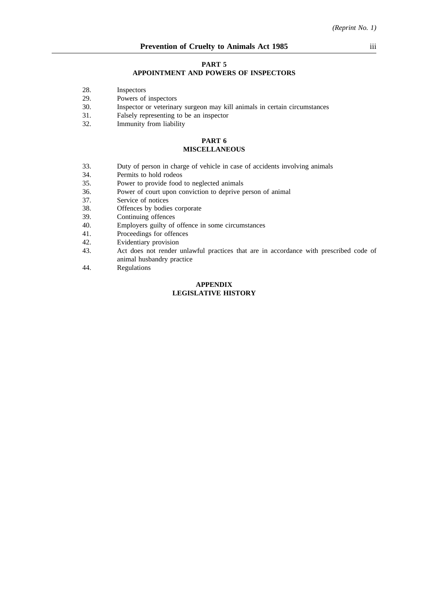#### **PART 5**

#### **APPOINTMENT AND POWERS OF INSPECTORS**

- 28. Inspectors
- 29. Powers of inspectors
- 30. Inspector or veterinary surgeon may kill animals in certain circumstances
- 31. Falsely representing to be an inspector 32. Immunity from liability
- Immunity from liability

#### **PART 6 MISCELLANEOUS**

- 33. Duty of person in charge of vehicle in case of accidents involving animals
- 34. Permits to hold rodeos
- 35. Power to provide food to neglected animals
- 36. Power of court upon conviction to deprive person of animal
- 37. Service of notices
- 38. Offences by bodies corporate<br>39. Continuing offences
- 39. Continuing offences<br>40. Employers guilty of
- Employers guilty of offence in some circumstances
- 41. Proceedings for offences
- 42. Evidentiary provision
- 43. Act does not render unlawful practices that are in accordance with prescribed code of animal husbandry practice
- 44. Regulations

#### **APPENDIX LEGISLATIVE HISTORY**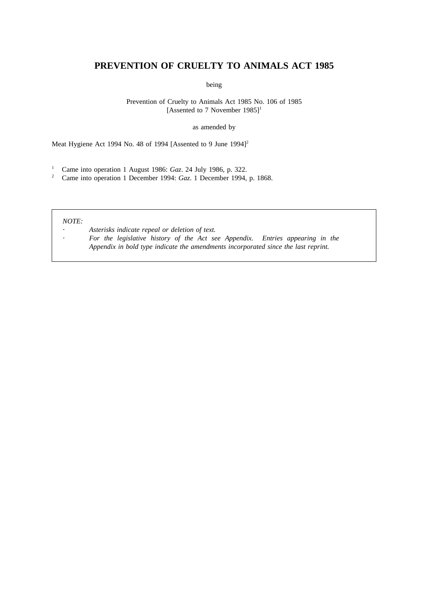## **PREVENTION OF CRUELTY TO ANIMALS ACT 1985**

being

Prevention of Cruelty to Animals Act 1985 No. 106 of 1985 [Assented to 7 November  $1985$ ]<sup>1</sup>

as amended by

Meat Hygiene Act 1994 No. 48 of 1994 [Assented to 9 June 1994]<sup>2</sup>

<sup>1</sup> Came into operation 1 August 1986: *Gaz*. 24 July 1986, p. 322.

<sup>2</sup> Came into operation 1 December 1994: *Gaz*. 1 December 1994, p. 1868.

#### *NOTE:*

*Asterisks indicate repeal or deletion of text. For the legislative history of the Act see Appendix. Entries appearing in the Appendix in bold type indicate the amendments incorporated since the last reprint.*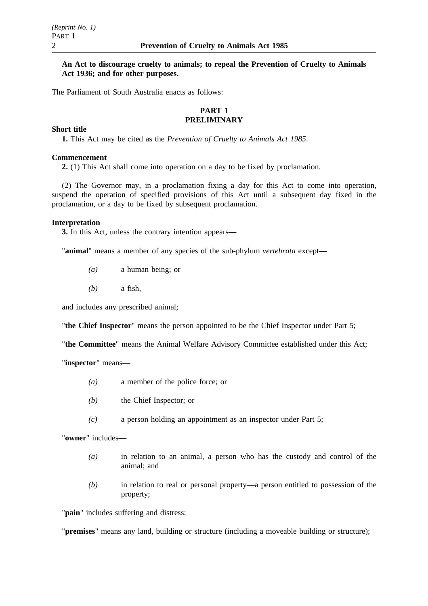### **An Act to discourage cruelty to animals; to repeal the Prevention of Cruelty to Animals Act 1936; and for other purposes.**

The Parliament of South Australia enacts as follows:

### **PART 1 PRELIMINARY**

### **Short title**

**1.** This Act may be cited as the *Prevention of Cruelty to Animals Act 1985*.

#### **Commencement**

**2.** (1) This Act shall come into operation on a day to be fixed by proclamation.

(2) The Governor may, in a proclamation fixing a day for this Act to come into operation, suspend the operation of specified provisions of this Act until a subsequent day fixed in the proclamation, or a day to be fixed by subsequent proclamation.

#### **Interpretation**

**3.** In this Act, unless the contrary intention appears—

"**animal**" means a member of any species of the sub-phylum *vertebrata* except—

- *(a)* a human being; or
- *(b)* a fish,

and includes any prescribed animal;

"**the Chief Inspector**" means the person appointed to be the Chief Inspector under Part 5;

"**the Committee**" means the Animal Welfare Advisory Committee established under this Act;

"**inspector**" means—

- *(a)* a member of the police force; or
- *(b)* the Chief Inspector; or
- *(c)* a person holding an appointment as an inspector under Part 5;

"**owner**" includes—

- *(a)* in relation to an animal, a person who has the custody and control of the animal; and
- *(b)* in relation to real or personal property—a person entitled to possession of the property;

"**pain**" includes suffering and distress;

"**premises**" means any land, building or structure (including a moveable building or structure);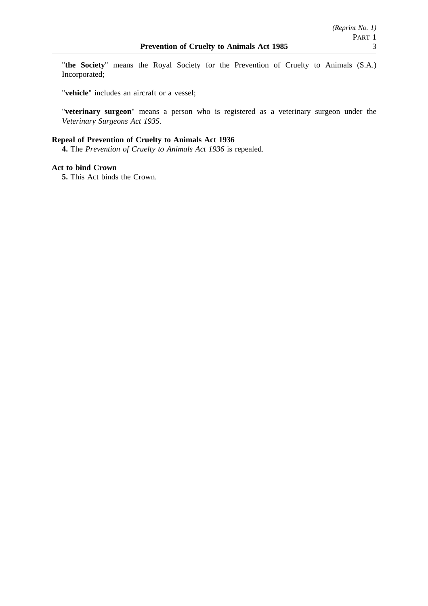"**the Society**" means the Royal Society for the Prevention of Cruelty to Animals (S.A.) Incorporated;

"**vehicle**" includes an aircraft or a vessel;

"**veterinary surgeon**" means a person who is registered as a veterinary surgeon under the *Veterinary Surgeons Act 1935*.

## **Repeal of Prevention of Cruelty to Animals Act 1936**

**4.** The *Prevention of Cruelty to Animals Act 1936* is repealed.

### **Act to bind Crown**

**5.** This Act binds the Crown.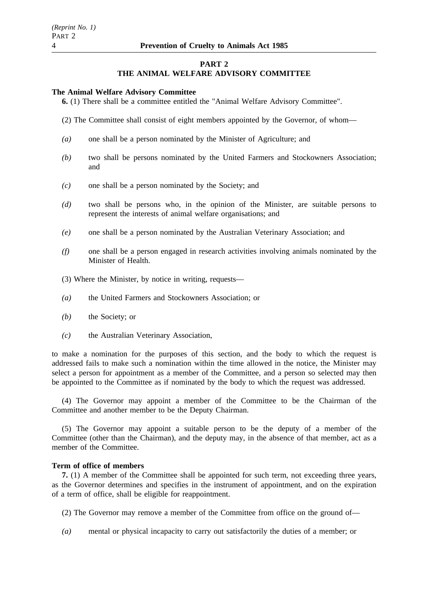#### **PART 2**

## **THE ANIMAL WELFARE ADVISORY COMMITTEE**

#### **The Animal Welfare Advisory Committee**

**6.** (1) There shall be a committee entitled the "Animal Welfare Advisory Committee".

- (2) The Committee shall consist of eight members appointed by the Governor, of whom—
- *(a)* one shall be a person nominated by the Minister of Agriculture; and
- *(b)* two shall be persons nominated by the United Farmers and Stockowners Association; and
- *(c)* one shall be a person nominated by the Society; and
- *(d)* two shall be persons who, in the opinion of the Minister, are suitable persons to represent the interests of animal welfare organisations; and
- *(e)* one shall be a person nominated by the Australian Veterinary Association; and
- *(f)* one shall be a person engaged in research activities involving animals nominated by the Minister of Health.
- (3) Where the Minister, by notice in writing, requests—
- *(a)* the United Farmers and Stockowners Association; or
- *(b)* the Society; or
- *(c)* the Australian Veterinary Association,

to make a nomination for the purposes of this section, and the body to which the request is addressed fails to make such a nomination within the time allowed in the notice, the Minister may select a person for appointment as a member of the Committee, and a person so selected may then be appointed to the Committee as if nominated by the body to which the request was addressed.

(4) The Governor may appoint a member of the Committee to be the Chairman of the Committee and another member to be the Deputy Chairman.

(5) The Governor may appoint a suitable person to be the deputy of a member of the Committee (other than the Chairman), and the deputy may, in the absence of that member, act as a member of the Committee.

#### **Term of office of members**

**7.** (1) A member of the Committee shall be appointed for such term, not exceeding three years, as the Governor determines and specifies in the instrument of appointment, and on the expiration of a term of office, shall be eligible for reappointment.

- (2) The Governor may remove a member of the Committee from office on the ground of—
- *(a)* mental or physical incapacity to carry out satisfactorily the duties of a member; or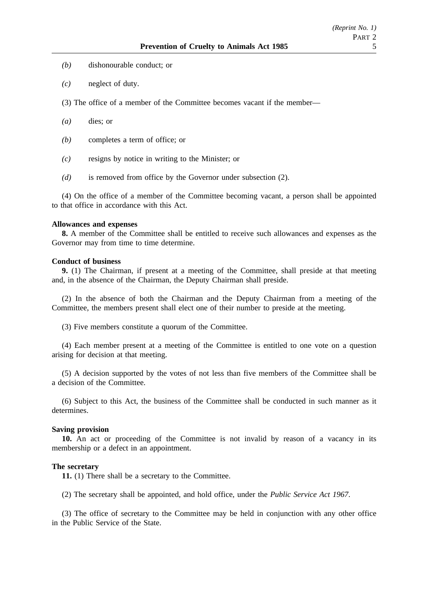- *(b)* dishonourable conduct; or
- *(c)* neglect of duty.
- (3) The office of a member of the Committee becomes vacant if the member—
- *(a)* dies; or
- *(b)* completes a term of office; or
- *(c)* resigns by notice in writing to the Minister; or
- *(d)* is removed from office by the Governor under subsection (2).

(4) On the office of a member of the Committee becoming vacant, a person shall be appointed to that office in accordance with this Act.

#### **Allowances and expenses**

**8.** A member of the Committee shall be entitled to receive such allowances and expenses as the Governor may from time to time determine.

#### **Conduct of business**

**9.** (1) The Chairman, if present at a meeting of the Committee, shall preside at that meeting and, in the absence of the Chairman, the Deputy Chairman shall preside.

(2) In the absence of both the Chairman and the Deputy Chairman from a meeting of the Committee, the members present shall elect one of their number to preside at the meeting.

(3) Five members constitute a quorum of the Committee.

(4) Each member present at a meeting of the Committee is entitled to one vote on a question arising for decision at that meeting.

(5) A decision supported by the votes of not less than five members of the Committee shall be a decision of the Committee.

(6) Subject to this Act, the business of the Committee shall be conducted in such manner as it determines.

### **Saving provision**

**10.** An act or proceeding of the Committee is not invalid by reason of a vacancy in its membership or a defect in an appointment.

#### **The secretary**

**11.** (1) There shall be a secretary to the Committee.

(2) The secretary shall be appointed, and hold office, under the *Public Service Act 1967*.

(3) The office of secretary to the Committee may be held in conjunction with any other office in the Public Service of the State.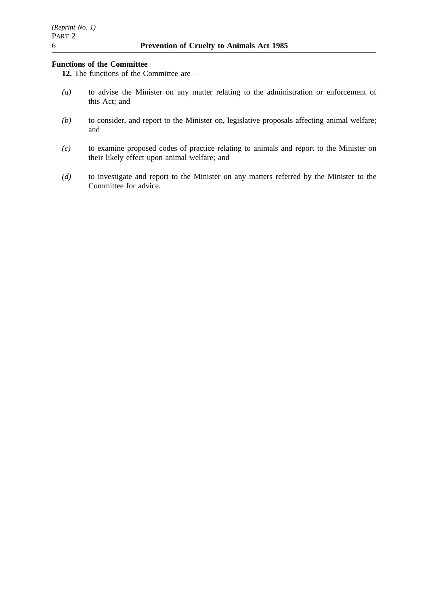## **Functions of the Committee**

**12.** The functions of the Committee are—

- *(a)* to advise the Minister on any matter relating to the administration or enforcement of this Act; and
- *(b)* to consider, and report to the Minister on, legislative proposals affecting animal welfare; and
- *(c)* to examine proposed codes of practice relating to animals and report to the Minister on their likely effect upon animal welfare; and
- *(d)* to investigate and report to the Minister on any matters referred by the Minister to the Committee for advice.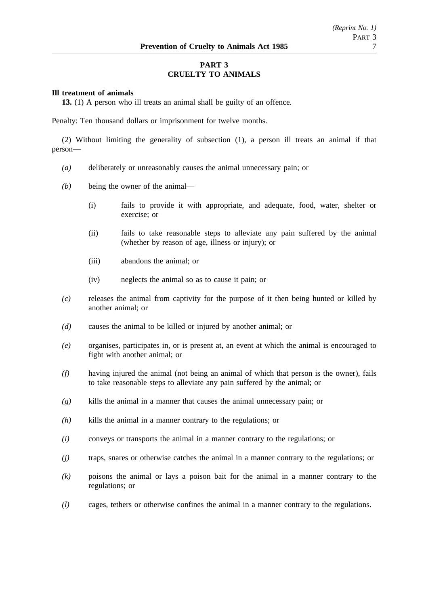## **PART 3 CRUELTY TO ANIMALS**

#### **Ill treatment of animals**

**13.** (1) A person who ill treats an animal shall be guilty of an offence.

Penalty: Ten thousand dollars or imprisonment for twelve months.

(2) Without limiting the generality of subsection (1), a person ill treats an animal if that person—

- *(a)* deliberately or unreasonably causes the animal unnecessary pain; or
- *(b)* being the owner of the animal—
	- (i) fails to provide it with appropriate, and adequate, food, water, shelter or exercise; or
	- (ii) fails to take reasonable steps to alleviate any pain suffered by the animal (whether by reason of age, illness or injury); or
	- (iii) abandons the animal; or
	- (iv) neglects the animal so as to cause it pain; or
- *(c)* releases the animal from captivity for the purpose of it then being hunted or killed by another animal; or
- *(d)* causes the animal to be killed or injured by another animal; or
- *(e)* organises, participates in, or is present at, an event at which the animal is encouraged to fight with another animal; or
- *(f)* having injured the animal (not being an animal of which that person is the owner), fails to take reasonable steps to alleviate any pain suffered by the animal; or
- *(g)* kills the animal in a manner that causes the animal unnecessary pain; or
- *(h)* kills the animal in a manner contrary to the regulations; or
- *(i)* conveys or transports the animal in a manner contrary to the regulations; or
- *(j)* traps, snares or otherwise catches the animal in a manner contrary to the regulations; or
- *(k)* poisons the animal or lays a poison bait for the animal in a manner contrary to the regulations; or
- *(l)* cages, tethers or otherwise confines the animal in a manner contrary to the regulations.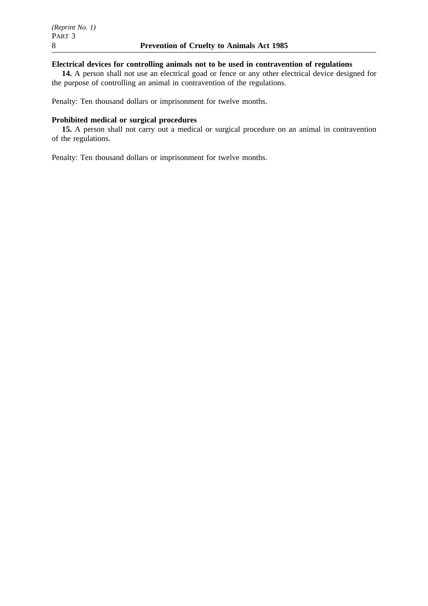### **Electrical devices for controlling animals not to be used in contravention of regulations**

**14.** A person shall not use an electrical goad or fence or any other electrical device designed for the purpose of controlling an animal in contravention of the regulations.

Penalty: Ten thousand dollars or imprisonment for twelve months.

### **Prohibited medical or surgical procedures**

**15.** A person shall not carry out a medical or surgical procedure on an animal in contravention of the regulations.

Penalty: Ten thousand dollars or imprisonment for twelve months.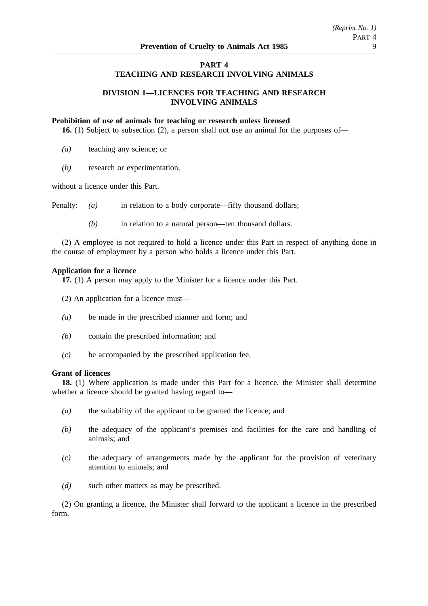### **PART 4**

### **TEACHING AND RESEARCH INVOLVING ANIMALS**

### **DIVISION 1—LICENCES FOR TEACHING AND RESEARCH INVOLVING ANIMALS**

#### **Prohibition of use of animals for teaching or research unless licensed**

**16.** (1) Subject to subsection (2), a person shall not use an animal for the purposes of—

- *(a)* teaching any science; or
- *(b)* research or experimentation,

without a licence under this Part.

Penalty: *(a)* in relation to a body corporate—fifty thousand dollars;

*(b)* in relation to a natural person—ten thousand dollars.

(2) A employee is not required to hold a licence under this Part in respect of anything done in the course of employment by a person who holds a licence under this Part.

#### **Application for a licence**

**17.** (1) A person may apply to the Minister for a licence under this Part.

- (2) An application for a licence must—
- *(a)* be made in the prescribed manner and form; and
- *(b)* contain the prescribed information; and
- *(c)* be accompanied by the prescribed application fee.

#### **Grant of licences**

**18.** (1) Where application is made under this Part for a licence, the Minister shall determine whether a licence should be granted having regard to—

- *(a)* the suitability of the applicant to be granted the licence; and
- *(b)* the adequacy of the applicant's premises and facilities for the care and handling of animals; and
- *(c)* the adequacy of arrangements made by the applicant for the provision of veterinary attention to animals; and
- *(d)* such other matters as may be prescribed.

(2) On granting a licence, the Minister shall forward to the applicant a licence in the prescribed form.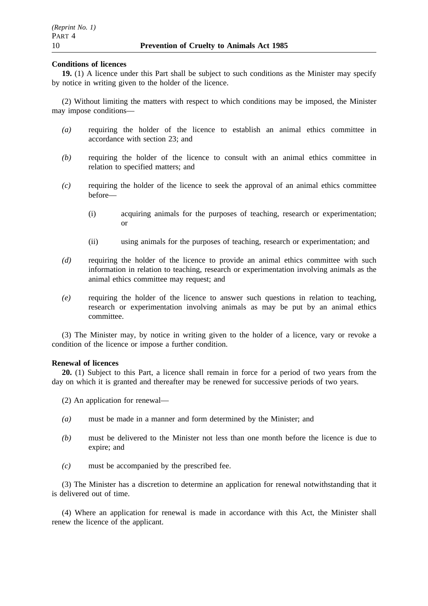#### **Conditions of licences**

**19.** (1) A licence under this Part shall be subject to such conditions as the Minister may specify by notice in writing given to the holder of the licence.

(2) Without limiting the matters with respect to which conditions may be imposed, the Minister may impose conditions—

- *(a)* requiring the holder of the licence to establish an animal ethics committee in accordance with section 23; and
- *(b)* requiring the holder of the licence to consult with an animal ethics committee in relation to specified matters; and
- *(c)* requiring the holder of the licence to seek the approval of an animal ethics committee before—
	- (i) acquiring animals for the purposes of teaching, research or experimentation; or
	- (ii) using animals for the purposes of teaching, research or experimentation; and
- *(d)* requiring the holder of the licence to provide an animal ethics committee with such information in relation to teaching, research or experimentation involving animals as the animal ethics committee may request; and
- *(e)* requiring the holder of the licence to answer such questions in relation to teaching, research or experimentation involving animals as may be put by an animal ethics committee.

(3) The Minister may, by notice in writing given to the holder of a licence, vary or revoke a condition of the licence or impose a further condition.

#### **Renewal of licences**

**20.** (1) Subject to this Part, a licence shall remain in force for a period of two years from the day on which it is granted and thereafter may be renewed for successive periods of two years.

- (2) An application for renewal—
- *(a)* must be made in a manner and form determined by the Minister; and
- *(b)* must be delivered to the Minister not less than one month before the licence is due to expire; and
- *(c)* must be accompanied by the prescribed fee.

(3) The Minister has a discretion to determine an application for renewal notwithstanding that it is delivered out of time.

(4) Where an application for renewal is made in accordance with this Act, the Minister shall renew the licence of the applicant.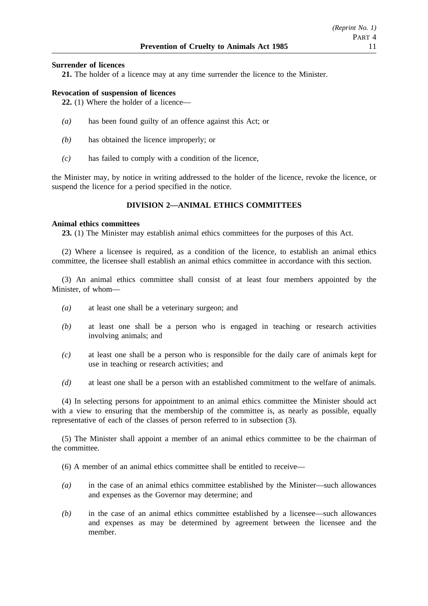### **Surrender of licences**

**21.** The holder of a licence may at any time surrender the licence to the Minister.

### **Revocation of suspension of licences**

**22.** (1) Where the holder of a licence—

- *(a)* has been found guilty of an offence against this Act; or
- *(b)* has obtained the licence improperly; or
- *(c)* has failed to comply with a condition of the licence,

the Minister may, by notice in writing addressed to the holder of the licence, revoke the licence, or suspend the licence for a period specified in the notice.

### **DIVISION 2—ANIMAL ETHICS COMMITTEES**

#### **Animal ethics committees**

**23.** (1) The Minister may establish animal ethics committees for the purposes of this Act.

(2) Where a licensee is required, as a condition of the licence, to establish an animal ethics committee, the licensee shall establish an animal ethics committee in accordance with this section.

(3) An animal ethics committee shall consist of at least four members appointed by the Minister, of whom—

- *(a)* at least one shall be a veterinary surgeon; and
- *(b)* at least one shall be a person who is engaged in teaching or research activities involving animals; and
- *(c)* at least one shall be a person who is responsible for the daily care of animals kept for use in teaching or research activities; and
- *(d)* at least one shall be a person with an established commitment to the welfare of animals.

(4) In selecting persons for appointment to an animal ethics committee the Minister should act with a view to ensuring that the membership of the committee is, as nearly as possible, equally representative of each of the classes of person referred to in subsection (3).

(5) The Minister shall appoint a member of an animal ethics committee to be the chairman of the committee.

(6) A member of an animal ethics committee shall be entitled to receive—

- *(a)* in the case of an animal ethics committee established by the Minister—such allowances and expenses as the Governor may determine; and
- *(b)* in the case of an animal ethics committee established by a licensee—such allowances and expenses as may be determined by agreement between the licensee and the member.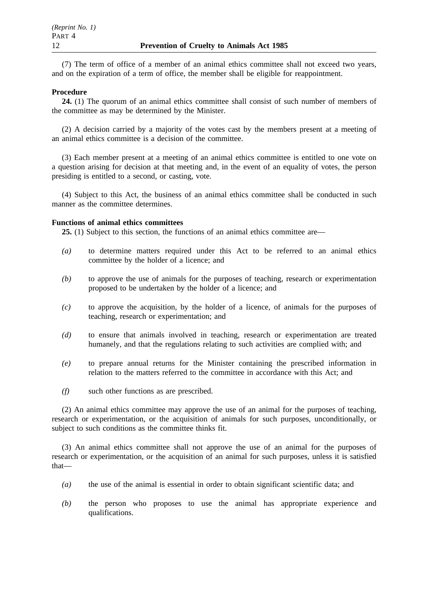(7) The term of office of a member of an animal ethics committee shall not exceed two years, and on the expiration of a term of office, the member shall be eligible for reappointment.

### **Procedure**

**24.** (1) The quorum of an animal ethics committee shall consist of such number of members of the committee as may be determined by the Minister.

(2) A decision carried by a majority of the votes cast by the members present at a meeting of an animal ethics committee is a decision of the committee.

(3) Each member present at a meeting of an animal ethics committee is entitled to one vote on a question arising for decision at that meeting and, in the event of an equality of votes, the person presiding is entitled to a second, or casting, vote.

(4) Subject to this Act, the business of an animal ethics committee shall be conducted in such manner as the committee determines.

#### **Functions of animal ethics committees**

**25.** (1) Subject to this section, the functions of an animal ethics committee are—

- *(a)* to determine matters required under this Act to be referred to an animal ethics committee by the holder of a licence; and
- *(b)* to approve the use of animals for the purposes of teaching, research or experimentation proposed to be undertaken by the holder of a licence; and
- *(c)* to approve the acquisition, by the holder of a licence, of animals for the purposes of teaching, research or experimentation; and
- *(d)* to ensure that animals involved in teaching, research or experimentation are treated humanely, and that the regulations relating to such activities are complied with; and
- *(e)* to prepare annual returns for the Minister containing the prescribed information in relation to the matters referred to the committee in accordance with this Act; and
- *(f)* such other functions as are prescribed.

(2) An animal ethics committee may approve the use of an animal for the purposes of teaching, research or experimentation, or the acquisition of animals for such purposes, unconditionally, or subject to such conditions as the committee thinks fit.

(3) An animal ethics committee shall not approve the use of an animal for the purposes of research or experimentation, or the acquisition of an animal for such purposes, unless it is satisfied that—

- *(a)* the use of the animal is essential in order to obtain significant scientific data; and
- *(b)* the person who proposes to use the animal has appropriate experience and qualifications.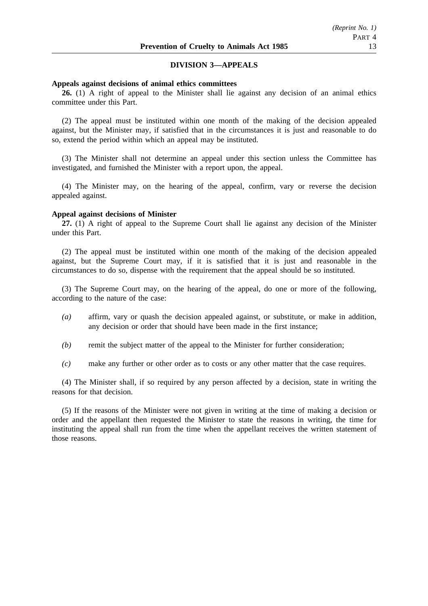### **DIVISION 3—APPEALS**

#### **Appeals against decisions of animal ethics committees**

**26.** (1) A right of appeal to the Minister shall lie against any decision of an animal ethics committee under this Part.

(2) The appeal must be instituted within one month of the making of the decision appealed against, but the Minister may, if satisfied that in the circumstances it is just and reasonable to do so, extend the period within which an appeal may be instituted.

(3) The Minister shall not determine an appeal under this section unless the Committee has investigated, and furnished the Minister with a report upon, the appeal.

(4) The Minister may, on the hearing of the appeal, confirm, vary or reverse the decision appealed against.

#### **Appeal against decisions of Minister**

**27.** (1) A right of appeal to the Supreme Court shall lie against any decision of the Minister under this Part.

(2) The appeal must be instituted within one month of the making of the decision appealed against, but the Supreme Court may, if it is satisfied that it is just and reasonable in the circumstances to do so, dispense with the requirement that the appeal should be so instituted.

(3) The Supreme Court may, on the hearing of the appeal, do one or more of the following, according to the nature of the case:

- *(a)* affirm, vary or quash the decision appealed against, or substitute, or make in addition, any decision or order that should have been made in the first instance;
- *(b)* remit the subject matter of the appeal to the Minister for further consideration;
- *(c)* make any further or other order as to costs or any other matter that the case requires.

(4) The Minister shall, if so required by any person affected by a decision, state in writing the reasons for that decision.

(5) If the reasons of the Minister were not given in writing at the time of making a decision or order and the appellant then requested the Minister to state the reasons in writing, the time for instituting the appeal shall run from the time when the appellant receives the written statement of those reasons.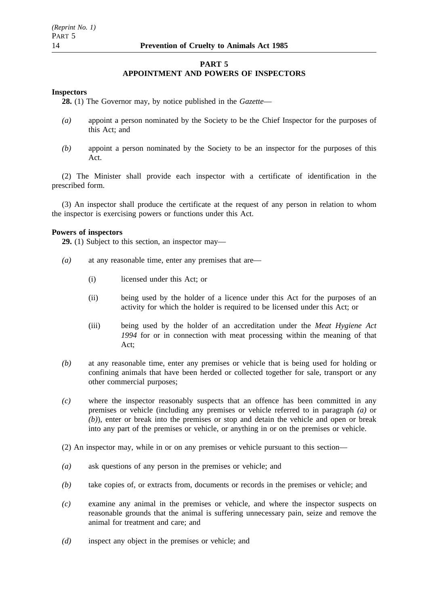### **PART 5 APPOINTMENT AND POWERS OF INSPECTORS**

### **Inspectors**

**28.** (1) The Governor may, by notice published in the *Gazette*—

- *(a)* appoint a person nominated by the Society to be the Chief Inspector for the purposes of this Act; and
- *(b)* appoint a person nominated by the Society to be an inspector for the purposes of this Act.

(2) The Minister shall provide each inspector with a certificate of identification in the prescribed form.

(3) An inspector shall produce the certificate at the request of any person in relation to whom the inspector is exercising powers or functions under this Act.

### **Powers of inspectors**

**29.** (1) Subject to this section, an inspector may—

- *(a)* at any reasonable time, enter any premises that are—
	- (i) licensed under this Act; or
	- (ii) being used by the holder of a licence under this Act for the purposes of an activity for which the holder is required to be licensed under this Act; or
	- (iii) being used by the holder of an accreditation under the *Meat Hygiene Act 1994* for or in connection with meat processing within the meaning of that Act;
- *(b)* at any reasonable time, enter any premises or vehicle that is being used for holding or confining animals that have been herded or collected together for sale, transport or any other commercial purposes;
- *(c)* where the inspector reasonably suspects that an offence has been committed in any premises or vehicle (including any premises or vehicle referred to in paragraph *(a)* or *(b)*), enter or break into the premises or stop and detain the vehicle and open or break into any part of the premises or vehicle, or anything in or on the premises or vehicle.
- (2) An inspector may, while in or on any premises or vehicle pursuant to this section—
- *(a)* ask questions of any person in the premises or vehicle; and
- *(b)* take copies of, or extracts from, documents or records in the premises or vehicle; and
- *(c)* examine any animal in the premises or vehicle, and where the inspector suspects on reasonable grounds that the animal is suffering unnecessary pain, seize and remove the animal for treatment and care; and
- *(d)* inspect any object in the premises or vehicle; and

PART 5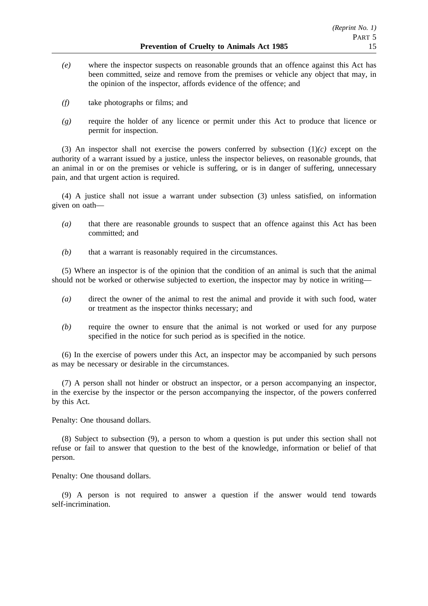- *(e)* where the inspector suspects on reasonable grounds that an offence against this Act has been committed, seize and remove from the premises or vehicle any object that may, in the opinion of the inspector, affords evidence of the offence; and
- *(f)* take photographs or films; and
- *(g)* require the holder of any licence or permit under this Act to produce that licence or permit for inspection.

(3) An inspector shall not exercise the powers conferred by subsection  $(1)/c$ ) except on the authority of a warrant issued by a justice, unless the inspector believes, on reasonable grounds, that an animal in or on the premises or vehicle is suffering, or is in danger of suffering, unnecessary pain, and that urgent action is required.

(4) A justice shall not issue a warrant under subsection (3) unless satisfied, on information given on oath—

- *(a)* that there are reasonable grounds to suspect that an offence against this Act has been committed; and
- *(b)* that a warrant is reasonably required in the circumstances.

(5) Where an inspector is of the opinion that the condition of an animal is such that the animal should not be worked or otherwise subjected to exertion, the inspector may by notice in writing—

- *(a)* direct the owner of the animal to rest the animal and provide it with such food, water or treatment as the inspector thinks necessary; and
- *(b)* require the owner to ensure that the animal is not worked or used for any purpose specified in the notice for such period as is specified in the notice.

(6) In the exercise of powers under this Act, an inspector may be accompanied by such persons as may be necessary or desirable in the circumstances.

(7) A person shall not hinder or obstruct an inspector, or a person accompanying an inspector, in the exercise by the inspector or the person accompanying the inspector, of the powers conferred by this Act.

Penalty: One thousand dollars.

(8) Subject to subsection (9), a person to whom a question is put under this section shall not refuse or fail to answer that question to the best of the knowledge, information or belief of that person.

Penalty: One thousand dollars.

(9) A person is not required to answer a question if the answer would tend towards self-incrimination.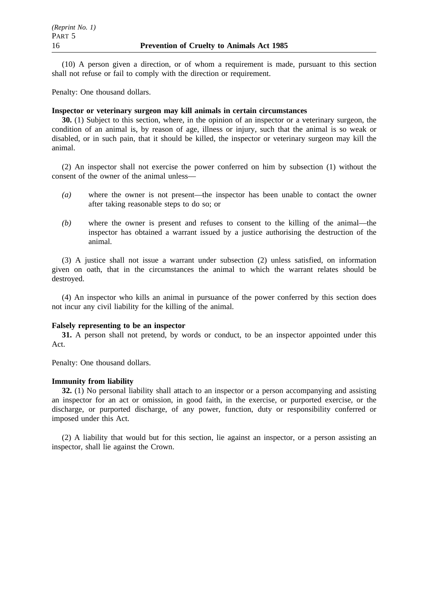(10) A person given a direction, or of whom a requirement is made, pursuant to this section shall not refuse or fail to comply with the direction or requirement.

Penalty: One thousand dollars.

### **Inspector or veterinary surgeon may kill animals in certain circumstances**

**30.** (1) Subject to this section, where, in the opinion of an inspector or a veterinary surgeon, the condition of an animal is, by reason of age, illness or injury, such that the animal is so weak or disabled, or in such pain, that it should be killed, the inspector or veterinary surgeon may kill the animal.

(2) An inspector shall not exercise the power conferred on him by subsection (1) without the consent of the owner of the animal unless—

- *(a)* where the owner is not present—the inspector has been unable to contact the owner after taking reasonable steps to do so; or
- *(b)* where the owner is present and refuses to consent to the killing of the animal—the inspector has obtained a warrant issued by a justice authorising the destruction of the animal.

(3) A justice shall not issue a warrant under subsection (2) unless satisfied, on information given on oath, that in the circumstances the animal to which the warrant relates should be destroyed.

(4) An inspector who kills an animal in pursuance of the power conferred by this section does not incur any civil liability for the killing of the animal.

#### **Falsely representing to be an inspector**

**31.** A person shall not pretend, by words or conduct, to be an inspector appointed under this Act.

Penalty: One thousand dollars.

#### **Immunity from liability**

**32.** (1) No personal liability shall attach to an inspector or a person accompanying and assisting an inspector for an act or omission, in good faith, in the exercise, or purported exercise, or the discharge, or purported discharge, of any power, function, duty or responsibility conferred or imposed under this Act.

(2) A liability that would but for this section, lie against an inspector, or a person assisting an inspector, shall lie against the Crown.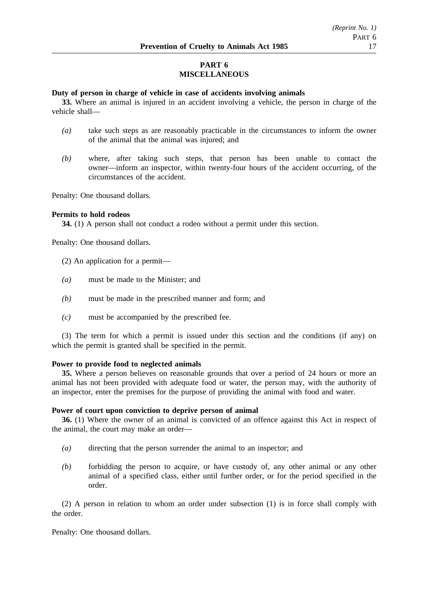# **PART 6 MISCELLANEOUS**

### **Duty of person in charge of vehicle in case of accidents involving animals**

**33.** Where an animal is injured in an accident involving a vehicle, the person in charge of the vehicle shall—

- *(a)* take such steps as are reasonably practicable in the circumstances to inform the owner of the animal that the animal was injured; and
- *(b)* where, after taking such steps, that person has been unable to contact the owner—inform an inspector, within twenty-four hours of the accident occurring, of the circumstances of the accident.

Penalty: One thousand dollars.

### **Permits to hold rodeos**

**34.** (1) A person shall not conduct a rodeo without a permit under this section.

Penalty: One thousand dollars.

- (2) An application for a permit—
- *(a)* must be made to the Minister; and
- *(b)* must be made in the prescribed manner and form; and
- *(c)* must be accompanied by the prescribed fee.

(3) The term for which a permit is issued under this section and the conditions (if any) on which the permit is granted shall be specified in the permit.

#### **Power to provide food to neglected animals**

**35.** Where a person believes on reasonable grounds that over a period of 24 hours or more an animal has not been provided with adequate food or water, the person may, with the authority of an inspector, enter the premises for the purpose of providing the animal with food and water.

#### **Power of court upon conviction to deprive person of animal**

**36.** (1) Where the owner of an animal is convicted of an offence against this Act in respect of the animal, the court may make an order—

- *(a)* directing that the person surrender the animal to an inspector; and
- *(b)* forbidding the person to acquire, or have custody of, any other animal or any other animal of a specified class, either until further order, or for the period specified in the order.

(2) A person in relation to whom an order under subsection (1) is in force shall comply with the order.

Penalty: One thousand dollars.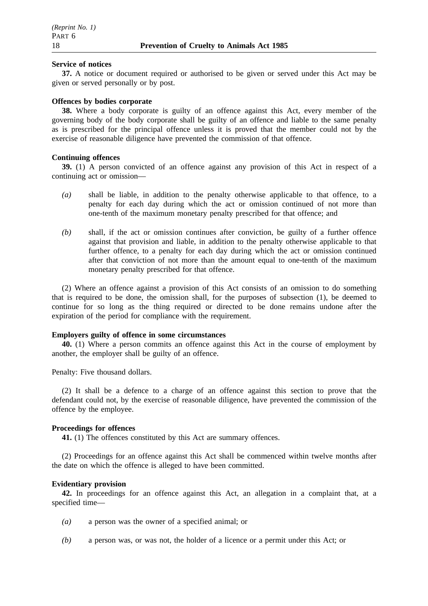#### **Service of notices**

**37.** A notice or document required or authorised to be given or served under this Act may be given or served personally or by post.

#### **Offences by bodies corporate**

**38.** Where a body corporate is guilty of an offence against this Act, every member of the governing body of the body corporate shall be guilty of an offence and liable to the same penalty as is prescribed for the principal offence unless it is proved that the member could not by the exercise of reasonable diligence have prevented the commission of that offence.

#### **Continuing offences**

**39.** (1) A person convicted of an offence against any provision of this Act in respect of a continuing act or omission—

- *(a)* shall be liable, in addition to the penalty otherwise applicable to that offence, to a penalty for each day during which the act or omission continued of not more than one-tenth of the maximum monetary penalty prescribed for that offence; and
- *(b)* shall, if the act or omission continues after conviction, be guilty of a further offence against that provision and liable, in addition to the penalty otherwise applicable to that further offence, to a penalty for each day during which the act or omission continued after that conviction of not more than the amount equal to one-tenth of the maximum monetary penalty prescribed for that offence.

(2) Where an offence against a provision of this Act consists of an omission to do something that is required to be done, the omission shall, for the purposes of subsection (1), be deemed to continue for so long as the thing required or directed to be done remains undone after the expiration of the period for compliance with the requirement.

#### **Employers guilty of offence in some circumstances**

**40.** (1) Where a person commits an offence against this Act in the course of employment by another, the employer shall be guilty of an offence.

Penalty: Five thousand dollars.

(2) It shall be a defence to a charge of an offence against this section to prove that the defendant could not, by the exercise of reasonable diligence, have prevented the commission of the offence by the employee.

#### **Proceedings for offences**

**41.** (1) The offences constituted by this Act are summary offences.

(2) Proceedings for an offence against this Act shall be commenced within twelve months after the date on which the offence is alleged to have been committed.

#### **Evidentiary provision**

**42.** In proceedings for an offence against this Act, an allegation in a complaint that, at a specified time—

- *(a)* a person was the owner of a specified animal; or
- *(b)* a person was, or was not, the holder of a licence or a permit under this Act; or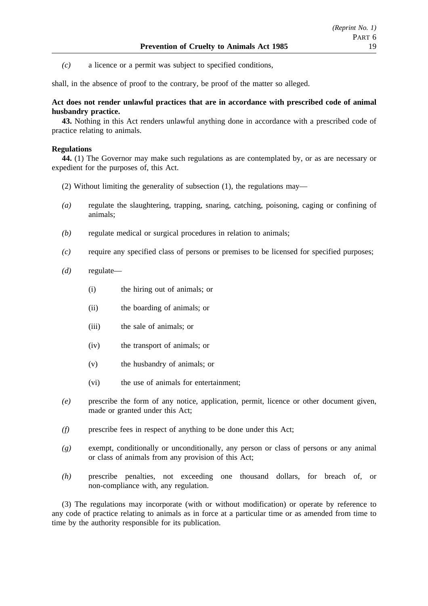*(c)* a licence or a permit was subject to specified conditions,

shall, in the absence of proof to the contrary, be proof of the matter so alleged.

### **Act does not render unlawful practices that are in accordance with prescribed code of animal husbandry practice.**

**43.** Nothing in this Act renders unlawful anything done in accordance with a prescribed code of practice relating to animals.

### **Regulations**

**44.** (1) The Governor may make such regulations as are contemplated by, or as are necessary or expedient for the purposes of, this Act.

- (2) Without limiting the generality of subsection (1), the regulations may—
- *(a)* regulate the slaughtering, trapping, snaring, catching, poisoning, caging or confining of animals;
- *(b)* regulate medical or surgical procedures in relation to animals;
- *(c)* require any specified class of persons or premises to be licensed for specified purposes;

*(d)* regulate—

- (i) the hiring out of animals; or
- (ii) the boarding of animals; or
- (iii) the sale of animals; or
- (iv) the transport of animals; or
- (v) the husbandry of animals; or
- (vi) the use of animals for entertainment;
- *(e)* prescribe the form of any notice, application, permit, licence or other document given, made or granted under this Act;
- *(f)* prescribe fees in respect of anything to be done under this Act;
- *(g)* exempt, conditionally or unconditionally, any person or class of persons or any animal or class of animals from any provision of this Act;
- *(h)* prescribe penalties, not exceeding one thousand dollars, for breach of, or non-compliance with, any regulation.

(3) The regulations may incorporate (with or without modification) or operate by reference to any code of practice relating to animals as in force at a particular time or as amended from time to time by the authority responsible for its publication.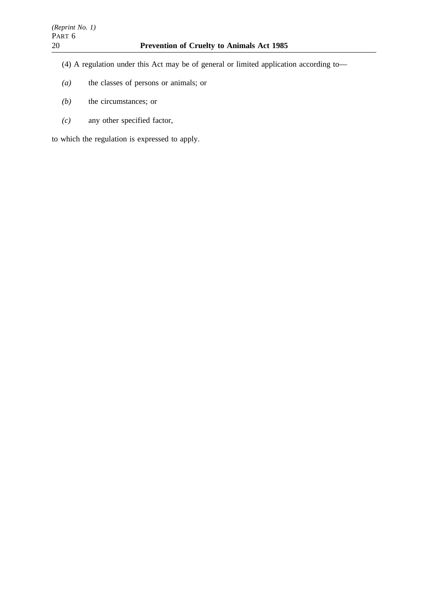- (4) A regulation under this Act may be of general or limited application according to—
- *(a)* the classes of persons or animals; or
- *(b)* the circumstances; or
- *(c)* any other specified factor,

to which the regulation is expressed to apply.